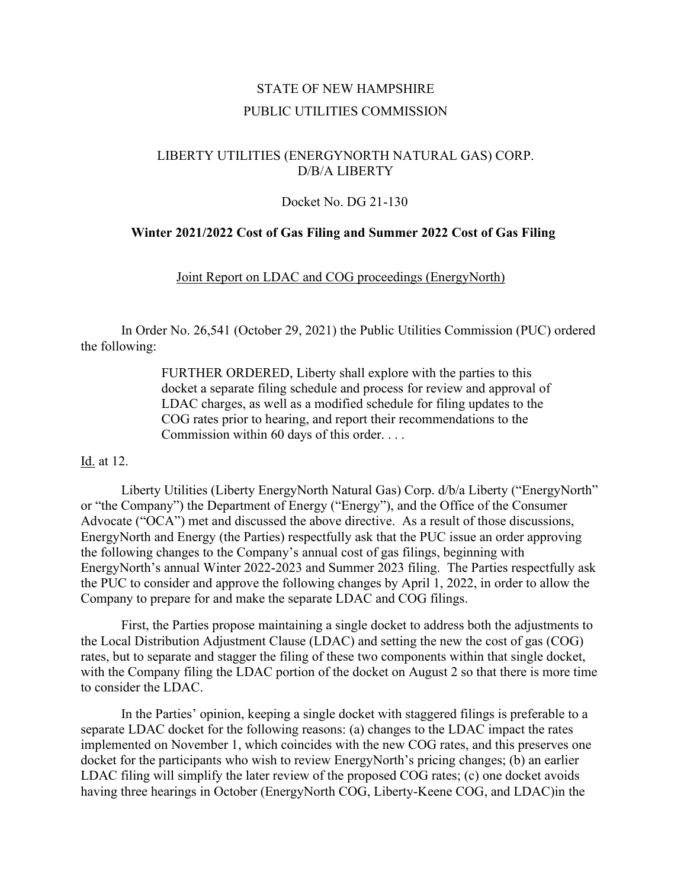# STATE OF NEW HAMPSHIRE PUBLIC UTILITIES COMMISSION

## LIBERTY UTILITIES (ENERGYNORTH NATURAL GAS) CORP. D/B/A LIBERTY

### Docket No. DG 21-130

### **Winter 2021/2022 Cost of Gas Filing and Summer 2022 Cost of Gas Filing**

Joint Report on LDAC and COG proceedings (EnergyNorth)

In Order No. 26,541 (October 29, 2021) the Public Utilities Commission (PUC) ordered the following:

> FURTHER ORDERED, Liberty shall explore with the parties to this docket a separate filing schedule and process for review and approval of LDAC charges, as well as a modified schedule for filing updates to the COG rates prior to hearing, and report their recommendations to the Commission within 60 days of this order. . . .

### Id. at 12.

Liberty Utilities (Liberty EnergyNorth Natural Gas) Corp. d/b/a Liberty ("EnergyNorth" or "the Company") the Department of Energy ("Energy"), and the Office of the Consumer Advocate ("OCA") met and discussed the above directive. As a result of those discussions, EnergyNorth and Energy (the Parties) respectfully ask that the PUC issue an order approving the following changes to the Company's annual cost of gas filings, beginning with EnergyNorth's annual Winter 2022-2023 and Summer 2023 filing. The Parties respectfully ask the PUC to consider and approve the following changes by April 1, 2022, in order to allow the Company to prepare for and make the separate LDAC and COG filings.

First, the Parties propose maintaining a single docket to address both the adjustments to the Local Distribution Adjustment Clause (LDAC) and setting the new the cost of gas (COG) rates, but to separate and stagger the filing of these two components within that single docket, with the Company filing the LDAC portion of the docket on August 2 so that there is more time to consider the LDAC.

In the Parties' opinion, keeping a single docket with staggered filings is preferable to a separate LDAC docket for the following reasons: (a) changes to the LDAC impact the rates implemented on November 1, which coincides with the new COG rates, and this preserves one docket for the participants who wish to review EnergyNorth's pricing changes; (b) an earlier LDAC filing will simplify the later review of the proposed COG rates; (c) one docket avoids having three hearings in October (EnergyNorth COG, Liberty-Keene COG, and LDAC)in the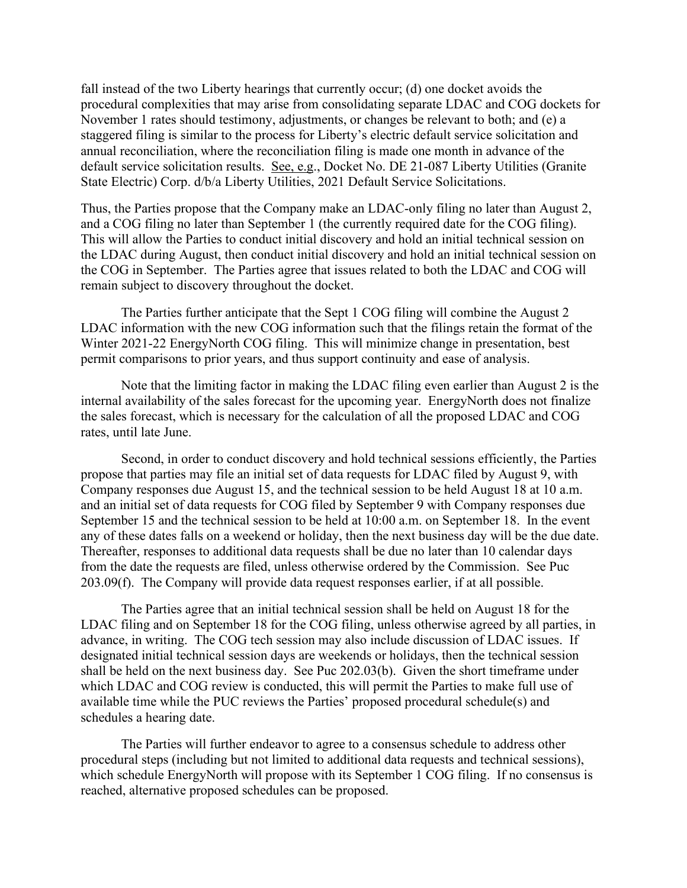fall instead of the two Liberty hearings that currently occur; (d) one docket avoids the procedural complexities that may arise from consolidating separate LDAC and COG dockets for November 1 rates should testimony, adjustments, or changes be relevant to both; and (e) a staggered filing is similar to the process for Liberty's electric default service solicitation and annual reconciliation, where the reconciliation filing is made one month in advance of the default service solicitation results. See, e.g., Docket No. DE 21-087 Liberty Utilities (Granite State Electric) Corp. d/b/a Liberty Utilities, 2021 Default Service Solicitations.

Thus, the Parties propose that the Company make an LDAC-only filing no later than August 2, and a COG filing no later than September 1 (the currently required date for the COG filing). This will allow the Parties to conduct initial discovery and hold an initial technical session on the LDAC during August, then conduct initial discovery and hold an initial technical session on the COG in September. The Parties agree that issues related to both the LDAC and COG will remain subject to discovery throughout the docket.

The Parties further anticipate that the Sept 1 COG filing will combine the August 2 LDAC information with the new COG information such that the filings retain the format of the Winter 2021-22 EnergyNorth COG filing. This will minimize change in presentation, best permit comparisons to prior years, and thus support continuity and ease of analysis.

Note that the limiting factor in making the LDAC filing even earlier than August 2 is the internal availability of the sales forecast for the upcoming year. EnergyNorth does not finalize the sales forecast, which is necessary for the calculation of all the proposed LDAC and COG rates, until late June.

Second, in order to conduct discovery and hold technical sessions efficiently, the Parties propose that parties may file an initial set of data requests for LDAC filed by August 9, with Company responses due August 15, and the technical session to be held August 18 at 10 a.m. and an initial set of data requests for COG filed by September 9 with Company responses due September 15 and the technical session to be held at 10:00 a.m. on September 18. In the event any of these dates falls on a weekend or holiday, then the next business day will be the due date. Thereafter, responses to additional data requests shall be due no later than 10 calendar days from the date the requests are filed, unless otherwise ordered by the Commission. See Puc 203.09(f). The Company will provide data request responses earlier, if at all possible.

The Parties agree that an initial technical session shall be held on August 18 for the LDAC filing and on September 18 for the COG filing, unless otherwise agreed by all parties, in advance, in writing. The COG tech session may also include discussion of LDAC issues. If designated initial technical session days are weekends or holidays, then the technical session shall be held on the next business day. See Puc 202.03(b). Given the short timeframe under which LDAC and COG review is conducted, this will permit the Parties to make full use of available time while the PUC reviews the Parties' proposed procedural schedule(s) and schedules a hearing date.

The Parties will further endeavor to agree to a consensus schedule to address other procedural steps (including but not limited to additional data requests and technical sessions), which schedule EnergyNorth will propose with its September 1 COG filing. If no consensus is reached, alternative proposed schedules can be proposed.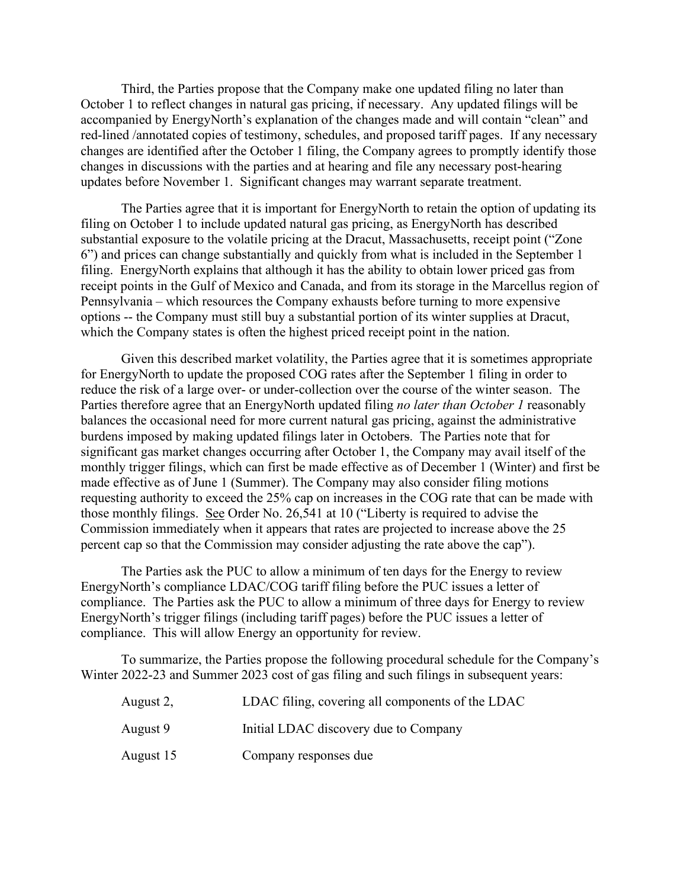Third, the Parties propose that the Company make one updated filing no later than October 1 to reflect changes in natural gas pricing, if necessary. Any updated filings will be accompanied by EnergyNorth's explanation of the changes made and will contain "clean" and red-lined /annotated copies of testimony, schedules, and proposed tariff pages. If any necessary changes are identified after the October 1 filing, the Company agrees to promptly identify those changes in discussions with the parties and at hearing and file any necessary post-hearing updates before November 1. Significant changes may warrant separate treatment.

The Parties agree that it is important for EnergyNorth to retain the option of updating its filing on October 1 to include updated natural gas pricing, as EnergyNorth has described substantial exposure to the volatile pricing at the Dracut, Massachusetts, receipt point ("Zone 6") and prices can change substantially and quickly from what is included in the September 1 filing. EnergyNorth explains that although it has the ability to obtain lower priced gas from receipt points in the Gulf of Mexico and Canada, and from its storage in the Marcellus region of Pennsylvania – which resources the Company exhausts before turning to more expensive options -- the Company must still buy a substantial portion of its winter supplies at Dracut, which the Company states is often the highest priced receipt point in the nation.

Given this described market volatility, the Parties agree that it is sometimes appropriate for EnergyNorth to update the proposed COG rates after the September 1 filing in order to reduce the risk of a large over- or under-collection over the course of the winter season. The Parties therefore agree that an EnergyNorth updated filing *no later than October 1* reasonably balances the occasional need for more current natural gas pricing, against the administrative burdens imposed by making updated filings later in Octobers. The Parties note that for significant gas market changes occurring after October 1, the Company may avail itself of the monthly trigger filings, which can first be made effective as of December 1 (Winter) and first be made effective as of June 1 (Summer). The Company may also consider filing motions requesting authority to exceed the 25% cap on increases in the COG rate that can be made with those monthly filings. See Order No. 26,541 at 10 ("Liberty is required to advise the Commission immediately when it appears that rates are projected to increase above the 25 percent cap so that the Commission may consider adjusting the rate above the cap").

The Parties ask the PUC to allow a minimum of ten days for the Energy to review EnergyNorth's compliance LDAC/COG tariff filing before the PUC issues a letter of compliance. The Parties ask the PUC to allow a minimum of three days for Energy to review EnergyNorth's trigger filings (including tariff pages) before the PUC issues a letter of compliance. This will allow Energy an opportunity for review.

To summarize, the Parties propose the following procedural schedule for the Company's Winter 2022-23 and Summer 2023 cost of gas filing and such filings in subsequent years:

| August 2, | LDAC filing, covering all components of the LDAC |
|-----------|--------------------------------------------------|
| August 9  | Initial LDAC discovery due to Company            |
| August 15 | Company responses due                            |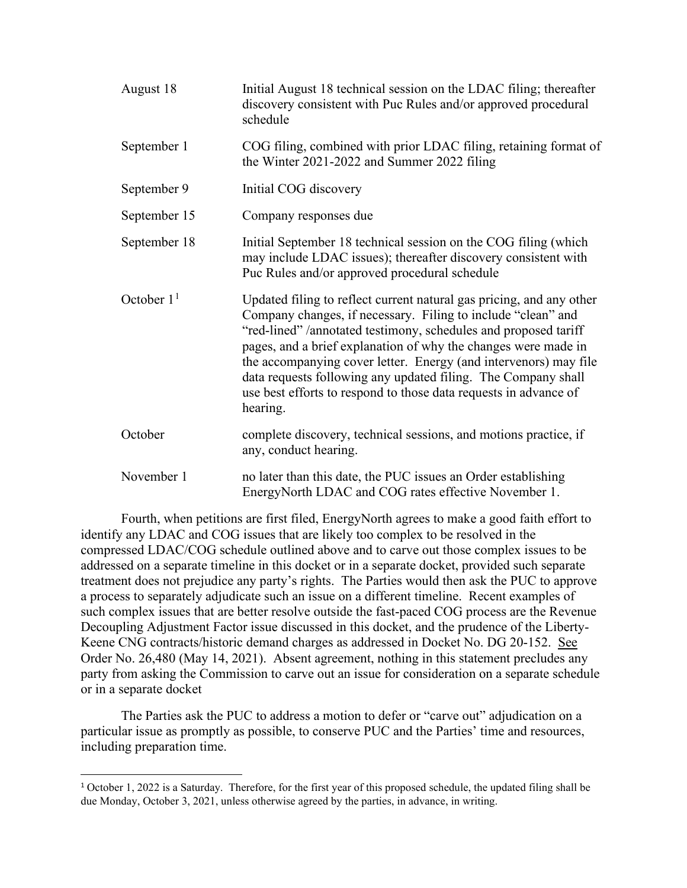| August 18    | Initial August 18 technical session on the LDAC filing; thereafter<br>discovery consistent with Puc Rules and/or approved procedural<br>schedule                                                                                                                                                                                                                                                                                                                                               |
|--------------|------------------------------------------------------------------------------------------------------------------------------------------------------------------------------------------------------------------------------------------------------------------------------------------------------------------------------------------------------------------------------------------------------------------------------------------------------------------------------------------------|
| September 1  | COG filing, combined with prior LDAC filing, retaining format of<br>the Winter 2021-2022 and Summer 2022 filing                                                                                                                                                                                                                                                                                                                                                                                |
| September 9  | Initial COG discovery                                                                                                                                                                                                                                                                                                                                                                                                                                                                          |
| September 15 | Company responses due                                                                                                                                                                                                                                                                                                                                                                                                                                                                          |
| September 18 | Initial September 18 technical session on the COG filing (which<br>may include LDAC issues); thereafter discovery consistent with<br>Puc Rules and/or approved procedural schedule                                                                                                                                                                                                                                                                                                             |
| October $11$ | Updated filing to reflect current natural gas pricing, and any other<br>Company changes, if necessary. Filing to include "clean" and<br>"red-lined" /annotated testimony, schedules and proposed tariff<br>pages, and a brief explanation of why the changes were made in<br>the accompanying cover letter. Energy (and intervenors) may file<br>data requests following any updated filing. The Company shall<br>use best efforts to respond to those data requests in advance of<br>hearing. |
| October      | complete discovery, technical sessions, and motions practice, if<br>any, conduct hearing.                                                                                                                                                                                                                                                                                                                                                                                                      |
| November 1   | no later than this date, the PUC issues an Order establishing<br>EnergyNorth LDAC and COG rates effective November 1.                                                                                                                                                                                                                                                                                                                                                                          |

Fourth, when petitions are first filed, EnergyNorth agrees to make a good faith effort to identify any LDAC and COG issues that are likely too complex to be resolved in the compressed LDAC/COG schedule outlined above and to carve out those complex issues to be addressed on a separate timeline in this docket or in a separate docket, provided such separate treatment does not prejudice any party's rights. The Parties would then ask the PUC to approve a process to separately adjudicate such an issue on a different timeline. Recent examples of such complex issues that are better resolve outside the fast-paced COG process are the Revenue Decoupling Adjustment Factor issue discussed in this docket, and the prudence of the Liberty-Keene CNG contracts/historic demand charges as addressed in Docket No. DG 20-152. See Order No. 26,480 (May 14, 2021). Absent agreement, nothing in this statement precludes any party from asking the Commission to carve out an issue for consideration on a separate schedule or in a separate docket

The Parties ask the PUC to address a motion to defer or "carve out" adjudication on a particular issue as promptly as possible, to conserve PUC and the Parties' time and resources, including preparation time.

<span id="page-3-0"></span><sup>1</sup> October 1, 2022 is a Saturday. Therefore, for the first year of this proposed schedule, the updated filing shall be due Monday, October 3, 2021, unless otherwise agreed by the parties, in advance, in writing.